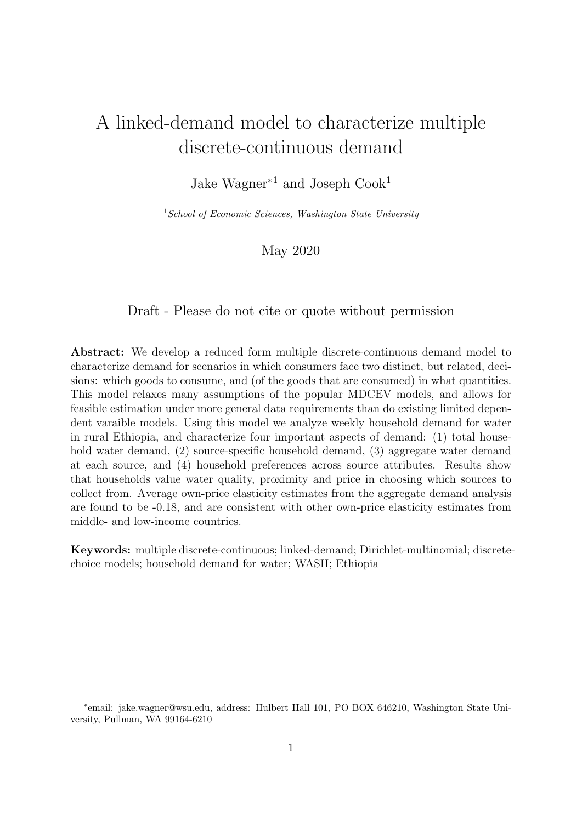## A linked-demand model to characterize multiple discrete-continuous demand

Jake Wagner<sup>∗1</sup> and Joseph Cook<sup>1</sup>

 $1$  School of Economic Sciences, Washington State University

#### May 2020

Draft - Please do not cite or quote without permission

Abstract: We develop a reduced form multiple discrete-continuous demand model to characterize demand for scenarios in which consumers face two distinct, but related, decisions: which goods to consume, and (of the goods that are consumed) in what quantities. This model relaxes many assumptions of the popular MDCEV models, and allows for feasible estimation under more general data requirements than do existing limited dependent varaible models. Using this model we analyze weekly household demand for water in rural Ethiopia, and characterize four important aspects of demand: (1) total household water demand, (2) source-specific household demand, (3) aggregate water demand at each source, and (4) household preferences across source attributes. Results show that households value water quality, proximity and price in choosing which sources to collect from. Average own-price elasticity estimates from the aggregate demand analysis are found to be -0.18, and are consistent with other own-price elasticity estimates from middle- and low-income countries.

Keywords: multiple discrete-continuous; linked-demand; Dirichlet-multinomial; discretechoice models; household demand for water; WASH; Ethiopia

<sup>∗</sup> email: jake.wagner@wsu.edu, address: Hulbert Hall 101, PO BOX 646210, Washington State University, Pullman, WA 99164-6210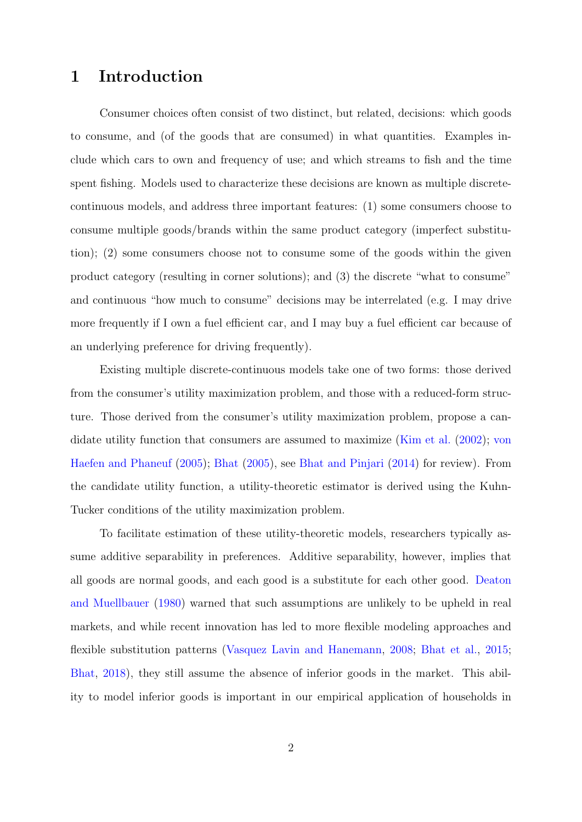### 1 Introduction

Consumer choices often consist of two distinct, but related, decisions: which goods to consume, and (of the goods that are consumed) in what quantities. Examples include which cars to own and frequency of use; and which streams to fish and the time spent fishing. Models used to characterize these decisions are known as multiple discretecontinuous models, and address three important features: (1) some consumers choose to consume multiple goods/brands within the same product category (imperfect substitution); (2) some consumers choose not to consume some of the goods within the given product category (resulting in corner solutions); and (3) the discrete "what to consume" and continuous "how much to consume" decisions may be interrelated (e.g. I may drive more frequently if I own a fuel efficient car, and I may buy a fuel efficient car because of an underlying preference for driving frequently).

Existing multiple discrete-continuous models take one of two forms: those derived from the consumer's utility maximization problem, and those with a reduced-form structure. Those derived from the consumer's utility maximization problem, propose a candidate utility function that consumers are assumed to maximize [\(Kim et al.](#page-17-0) [\(2002\)](#page-17-0); [von](#page-18-0) [Haefen and Phaneuf](#page-18-0) [\(2005\)](#page-18-0); [Bhat](#page-17-1) [\(2005\)](#page-17-1), see [Bhat and Pinjari](#page-17-2) [\(2014\)](#page-17-2) for review). From the candidate utility function, a utility-theoretic estimator is derived using the Kuhn-Tucker conditions of the utility maximization problem.

To facilitate estimation of these utility-theoretic models, researchers typically assume additive separability in preferences. Additive separability, however, implies that all goods are normal goods, and each good is a substitute for each other good. [Deaton](#page-17-3) [and Muellbauer](#page-17-3) [\(1980\)](#page-17-3) warned that such assumptions are unlikely to be upheld in real markets, and while recent innovation has led to more flexible modeling approaches and flexible substitution patterns [\(Vasquez Lavin and Hanemann,](#page-18-1) [2008;](#page-18-1) [Bhat et al.,](#page-17-4) [2015;](#page-17-4) [Bhat,](#page-17-5) [2018\)](#page-17-5), they still assume the absence of inferior goods in the market. This ability to model inferior goods is important in our empirical application of households in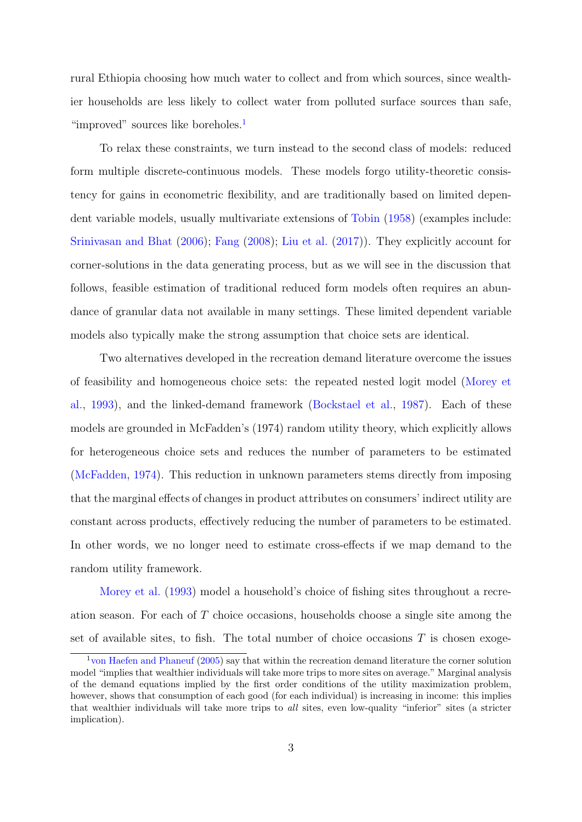rural Ethiopia choosing how much water to collect and from which sources, since wealthier households are less likely to collect water from polluted surface sources than safe, "improved" sources like boreholes.<sup>[1](#page-2-0)</sup>

To relax these constraints, we turn instead to the second class of models: reduced form multiple discrete-continuous models. These models forgo utility-theoretic consistency for gains in econometric flexibility, and are traditionally based on limited dependent variable models, usually multivariate extensions of [Tobin](#page-18-2) [\(1958\)](#page-18-2) (examples include: [Srinivasan and Bhat](#page-18-3) [\(2006\)](#page-18-3); [Fang](#page-17-6) [\(2008\)](#page-17-6); [Liu et al.](#page-17-7) [\(2017\)](#page-17-7)). They explicitly account for corner-solutions in the data generating process, but as we will see in the discussion that follows, feasible estimation of traditional reduced form models often requires an abundance of granular data not available in many settings. These limited dependent variable models also typically make the strong assumption that choice sets are identical.

Two alternatives developed in the recreation demand literature overcome the issues of feasibility and homogeneous choice sets: the repeated nested logit model [\(Morey et](#page-18-4) [al.,](#page-18-4) [1993\)](#page-18-4), and the linked-demand framework [\(Bockstael et al.,](#page-17-8) [1987\)](#page-17-8). Each of these models are grounded in McFadden's (1974) random utility theory, which explicitly allows for heterogeneous choice sets and reduces the number of parameters to be estimated [\(McFadden,](#page-18-5) [1974\)](#page-18-5). This reduction in unknown parameters stems directly from imposing that the marginal effects of changes in product attributes on consumers' indirect utility are constant across products, effectively reducing the number of parameters to be estimated. In other words, we no longer need to estimate cross-effects if we map demand to the random utility framework.

[Morey et al.](#page-18-4) [\(1993\)](#page-18-4) model a household's choice of fishing sites throughout a recreation season. For each of T choice occasions, households choose a single site among the set of available sites, to fish. The total number of choice occasions  $T$  is chosen exoge-

<span id="page-2-0"></span><sup>1</sup>[von Haefen and Phaneuf](#page-18-0) [\(2005\)](#page-18-0) say that within the recreation demand literature the corner solution model "implies that wealthier individuals will take more trips to more sites on average." Marginal analysis of the demand equations implied by the first order conditions of the utility maximization problem, however, shows that consumption of each good (for each individual) is increasing in income: this implies that wealthier individuals will take more trips to all sites, even low-quality "inferior" sites (a stricter implication).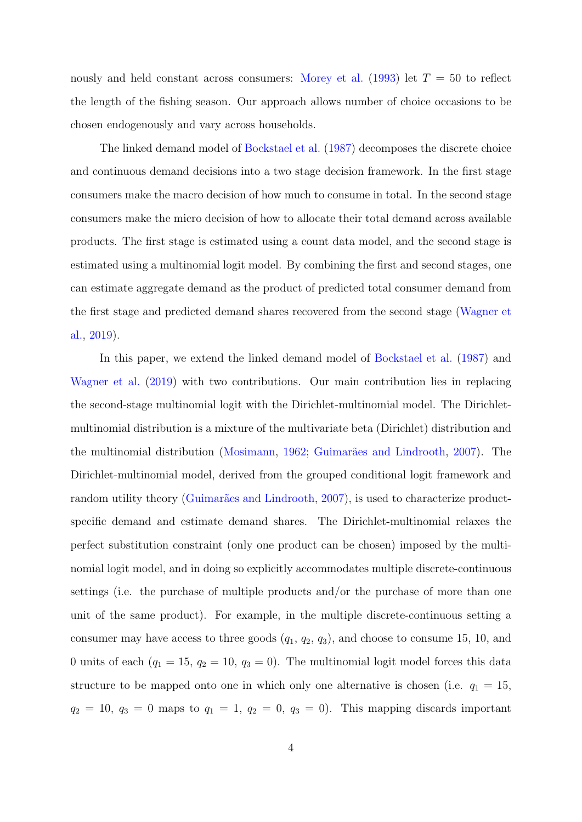nously and held constant across consumers: [Morey et al.](#page-18-4) [\(1993\)](#page-18-4) let  $T = 50$  to reflect the length of the fishing season. Our approach allows number of choice occasions to be chosen endogenously and vary across households.

The linked demand model of [Bockstael et al.](#page-17-8) [\(1987\)](#page-17-8) decomposes the discrete choice and continuous demand decisions into a two stage decision framework. In the first stage consumers make the macro decision of how much to consume in total. In the second stage consumers make the micro decision of how to allocate their total demand across available products. The first stage is estimated using a count data model, and the second stage is estimated using a multinomial logit model. By combining the first and second stages, one can estimate aggregate demand as the product of predicted total consumer demand from the first stage and predicted demand shares recovered from the second stage [\(Wagner et](#page-18-6) [al.,](#page-18-6) [2019\)](#page-18-6).

In this paper, we extend the linked demand model of [Bockstael et al.](#page-17-8) [\(1987\)](#page-17-8) and [Wagner et al.](#page-18-6) [\(2019\)](#page-18-6) with two contributions. Our main contribution lies in replacing the second-stage multinomial logit with the Dirichlet-multinomial model. The Dirichletmultinomial distribution is a mixture of the multivariate beta (Dirichlet) distribution and the multinomial distribution [\(Mosimann,](#page-18-7) [1962;](#page-18-7) Guimarães and Lindrooth, [2007\)](#page-17-9). The Dirichlet-multinomial model, derived from the grouped conditional logit framework and random utility theory (Guimarães and Lindrooth, [2007\)](#page-17-9), is used to characterize productspecific demand and estimate demand shares. The Dirichlet-multinomial relaxes the perfect substitution constraint (only one product can be chosen) imposed by the multinomial logit model, and in doing so explicitly accommodates multiple discrete-continuous settings (i.e. the purchase of multiple products and/or the purchase of more than one unit of the same product). For example, in the multiple discrete-continuous setting a consumer may have access to three goods  $(q_1, q_2, q_3)$ , and choose to consume 15, 10, and 0 units of each  $(q_1 = 15, q_2 = 10, q_3 = 0)$ . The multinomial logit model forces this data structure to be mapped onto one in which only one alternative is chosen (i.e.  $q_1 = 15$ ,  $q_2 = 10$ ,  $q_3 = 0$  maps to  $q_1 = 1$ ,  $q_2 = 0$ ,  $q_3 = 0$ ). This mapping discards important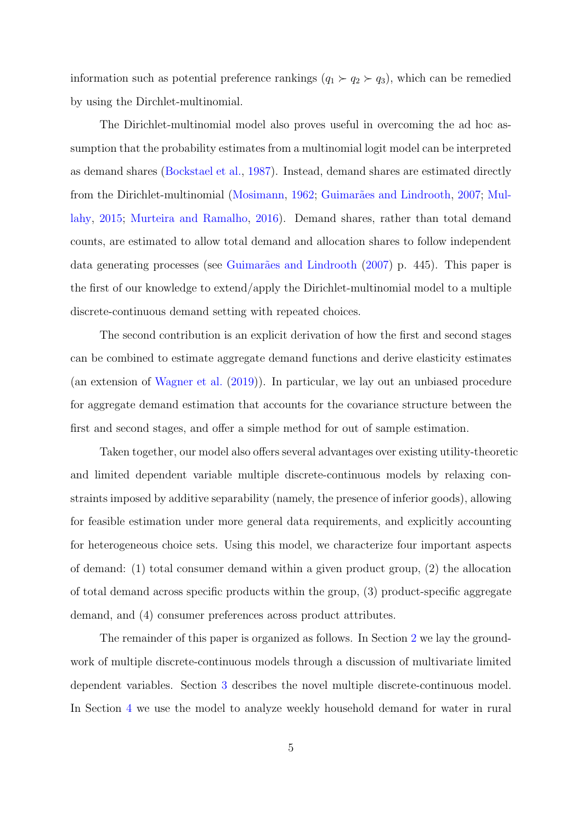information such as potential preference rankings  $(q_1 \succ q_2 \succ q_3)$ , which can be remedied by using the Dirchlet-multinomial.

The Dirichlet-multinomial model also proves useful in overcoming the ad hoc assumption that the probability estimates from a multinomial logit model can be interpreted as demand shares [\(Bockstael et al.,](#page-17-8) [1987\)](#page-17-8). Instead, demand shares are estimated directly from the Dirichlet-multinomial [\(Mosimann,](#page-18-7) [1962;](#page-18-7) Guimarães and Lindrooth, [2007;](#page-17-9) [Mul](#page-18-8)[lahy,](#page-18-8) [2015;](#page-18-8) [Murteira and Ramalho,](#page-18-9) [2016\)](#page-18-9). Demand shares, rather than total demand counts, are estimated to allow total demand and allocation shares to follow independent data generating processes (see Guimarães and Lindrooth  $(2007)$  p. 445). This paper is the first of our knowledge to extend/apply the Dirichlet-multinomial model to a multiple discrete-continuous demand setting with repeated choices.

The second contribution is an explicit derivation of how the first and second stages can be combined to estimate aggregate demand functions and derive elasticity estimates (an extension of [Wagner et al.](#page-18-6) [\(2019\)](#page-18-6)). In particular, we lay out an unbiased procedure for aggregate demand estimation that accounts for the covariance structure between the first and second stages, and offer a simple method for out of sample estimation.

Taken together, our model also offers several advantages over existing utility-theoretic and limited dependent variable multiple discrete-continuous models by relaxing constraints imposed by additive separability (namely, the presence of inferior goods), allowing for feasible estimation under more general data requirements, and explicitly accounting for heterogeneous choice sets. Using this model, we characterize four important aspects of demand: (1) total consumer demand within a given product group, (2) the allocation of total demand across specific products within the group, (3) product-specific aggregate demand, and (4) consumer preferences across product attributes.

The remainder of this paper is organized as follows. In Section [2](#page-5-0) we lay the groundwork of multiple discrete-continuous models through a discussion of multivariate limited dependent variables. Section [3](#page-7-0) describes the novel multiple discrete-continuous model. In Section [4](#page-11-0) we use the model to analyze weekly household demand for water in rural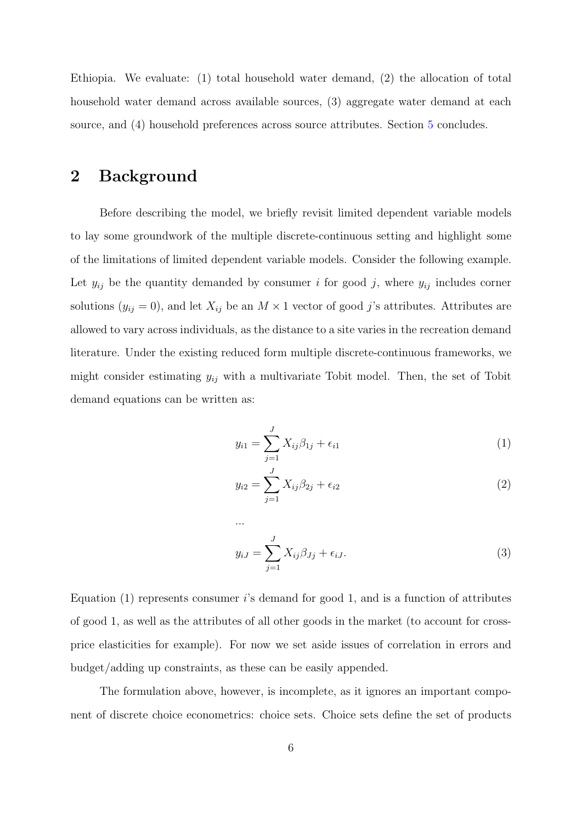Ethiopia. We evaluate: (1) total household water demand, (2) the allocation of total household water demand across available sources, (3) aggregate water demand at each source, and (4) household preferences across source attributes. Section [5](#page-15-0) concludes.

### <span id="page-5-0"></span>2 Background

Before describing the model, we briefly revisit limited dependent variable models to lay some groundwork of the multiple discrete-continuous setting and highlight some of the limitations of limited dependent variable models. Consider the following example. Let  $y_{ij}$  be the quantity demanded by consumer i for good j, where  $y_{ij}$  includes corner solutions  $(y_{ij} = 0)$ , and let  $X_{ij}$  be an  $M \times 1$  vector of good j's attributes. Attributes are allowed to vary across individuals, as the distance to a site varies in the recreation demand literature. Under the existing reduced form multiple discrete-continuous frameworks, we might consider estimating  $y_{ij}$  with a multivariate Tobit model. Then, the set of Tobit demand equations can be written as:

$$
y_{i1} = \sum_{j=1}^{J} X_{ij} \beta_{1j} + \epsilon_{i1}
$$
 (1)

$$
y_{i2} = \sum_{j=1}^{J} X_{ij} \beta_{2j} + \epsilon_{i2} \tag{2}
$$

$$
y_{iJ} = \sum_{j=1}^{J} X_{ij} \beta_{Jj} + \epsilon_{iJ}.
$$
 (3)

Equation  $(1)$  represents consumer is demand for good 1, and is a function of attributes of good 1, as well as the attributes of all other goods in the market (to account for crossprice elasticities for example). For now we set aside issues of correlation in errors and budget/adding up constraints, as these can be easily appended.

...

The formulation above, however, is incomplete, as it ignores an important component of discrete choice econometrics: choice sets. Choice sets define the set of products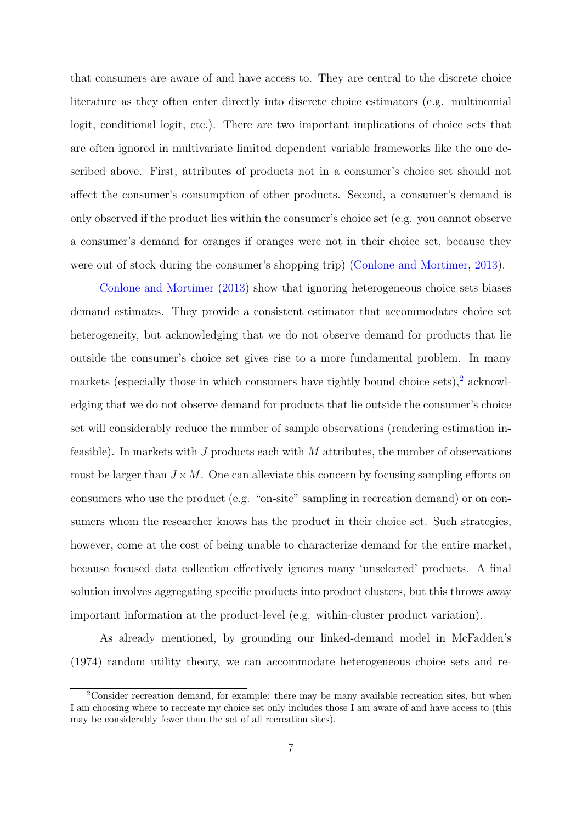that consumers are aware of and have access to. They are central to the discrete choice literature as they often enter directly into discrete choice estimators (e.g. multinomial logit, conditional logit, etc.). There are two important implications of choice sets that are often ignored in multivariate limited dependent variable frameworks like the one described above. First, attributes of products not in a consumer's choice set should not affect the consumer's consumption of other products. Second, a consumer's demand is only observed if the product lies within the consumer's choice set (e.g. you cannot observe a consumer's demand for oranges if oranges were not in their choice set, because they were out of stock during the consumer's shopping trip) [\(Conlone and Mortimer,](#page-17-10) [2013\)](#page-17-10).

[Conlone and Mortimer](#page-17-10) [\(2013\)](#page-17-10) show that ignoring heterogeneous choice sets biases demand estimates. They provide a consistent estimator that accommodates choice set heterogeneity, but acknowledging that we do not observe demand for products that lie outside the consumer's choice set gives rise to a more fundamental problem. In many markets (especially those in which consumers have tightly bound choice sets), $\frac{2}{3}$  $\frac{2}{3}$  $\frac{2}{3}$  acknowledging that we do not observe demand for products that lie outside the consumer's choice set will considerably reduce the number of sample observations (rendering estimation infeasible). In markets with J products each with  $M$  attributes, the number of observations must be larger than  $J \times M$ . One can alleviate this concern by focusing sampling efforts on consumers who use the product (e.g. "on-site" sampling in recreation demand) or on consumers whom the researcher knows has the product in their choice set. Such strategies, however, come at the cost of being unable to characterize demand for the entire market, because focused data collection effectively ignores many 'unselected' products. A final solution involves aggregating specific products into product clusters, but this throws away important information at the product-level (e.g. within-cluster product variation).

As already mentioned, by grounding our linked-demand model in McFadden's (1974) random utility theory, we can accommodate heterogeneous choice sets and re-

<span id="page-6-0"></span> $2$ Consider recreation demand, for example: there may be many available recreation sites, but when I am choosing where to recreate my choice set only includes those I am aware of and have access to (this may be considerably fewer than the set of all recreation sites).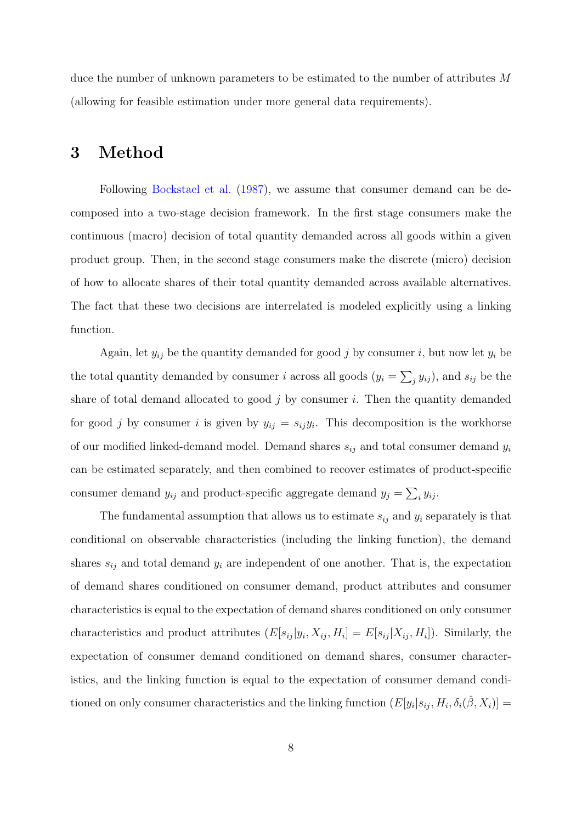duce the number of unknown parameters to be estimated to the number of attributes M (allowing for feasible estimation under more general data requirements).

### <span id="page-7-0"></span>3 Method

Following [Bockstael et al.](#page-17-8) [\(1987\)](#page-17-8), we assume that consumer demand can be decomposed into a two-stage decision framework. In the first stage consumers make the continuous (macro) decision of total quantity demanded across all goods within a given product group. Then, in the second stage consumers make the discrete (micro) decision of how to allocate shares of their total quantity demanded across available alternatives. The fact that these two decisions are interrelated is modeled explicitly using a linking function.

Again, let  $y_{ij}$  be the quantity demanded for good j by consumer i, but now let  $y_i$  be the total quantity demanded by consumer *i* across all goods  $(y_i = \sum_j y_{ij})$ , and  $s_{ij}$  be the share of total demand allocated to good  $j$  by consumer  $i$ . Then the quantity demanded for good j by consumer i is given by  $y_{ij} = s_{ij}y_i$ . This decomposition is the workhorse of our modified linked-demand model. Demand shares  $s_{ij}$  and total consumer demand  $y_i$ can be estimated separately, and then combined to recover estimates of product-specific consumer demand  $y_{ij}$  and product-specific aggregate demand  $y_j = \sum_i y_{ij}$ .

The fundamental assumption that allows us to estimate  $s_{ij}$  and  $y_i$  separately is that conditional on observable characteristics (including the linking function), the demand shares  $s_{ij}$  and total demand  $y_i$  are independent of one another. That is, the expectation of demand shares conditioned on consumer demand, product attributes and consumer characteristics is equal to the expectation of demand shares conditioned on only consumer characteristics and product attributes  $(E[s_{ij} | y_i, X_{ij}, H_i] = E[s_{ij} | X_{ij}, H_i])$ . Similarly, the expectation of consumer demand conditioned on demand shares, consumer characteristics, and the linking function is equal to the expectation of consumer demand conditioned on only consumer characteristics and the linking function  $(E[y_i|s_{ij}, H_i, \delta_i(\hat{\beta}, X_i)] =$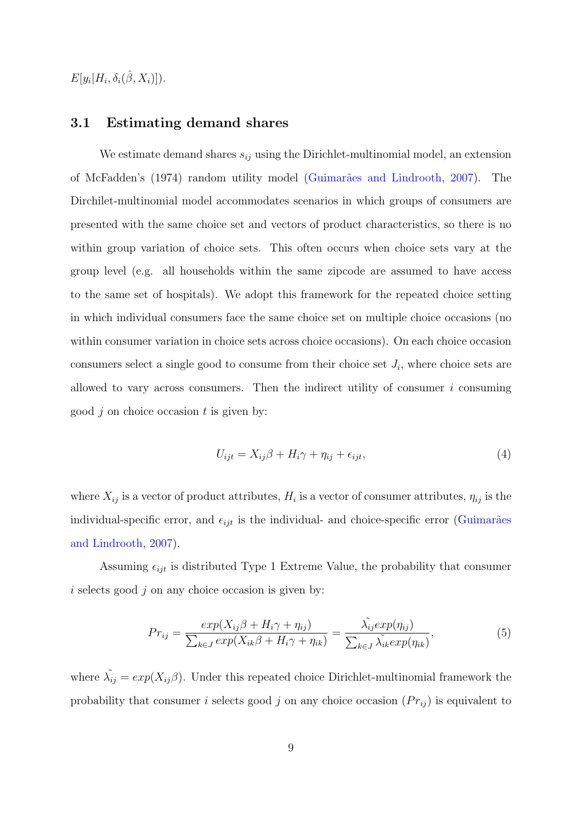$E[y_i|H_i, \delta_i(\hat{\beta}, X_i)]$ ).

#### 3.1 Estimating demand shares

We estimate demand shares  $s_{ij}$  using the Dirichlet-multinomial model, an extension of McFadden's (1974) random utility model (Guimarães and Lindrooth, [2007\)](#page-17-9). The Dirchilet-multinomial model accommodates scenarios in which groups of consumers are presented with the same choice set and vectors of product characteristics, so there is no within group variation of choice sets. This often occurs when choice sets vary at the group level (e.g. all households within the same zipcode are assumed to have access to the same set of hospitals). We adopt this framework for the repeated choice setting in which individual consumers face the same choice set on multiple choice occasions (no within consumer variation in choice sets across choice occasions). On each choice occasion consumers select a single good to consume from their choice set  $J_i$ , where choice sets are allowed to vary across consumers. Then the indirect utility of consumer  $i$  consuming good  $j$  on choice occasion  $t$  is given by:

<span id="page-8-1"></span>
$$
U_{ijt} = X_{ij}\beta + H_i\gamma + \eta_{ij} + \epsilon_{ijt},\tag{4}
$$

where  $X_{ij}$  is a vector of product attributes,  $H_i$  is a vector of consumer attributes,  $\eta_{ij}$  is the individual-specific error, and  $\epsilon_{ijt}$  is the individual- and choice-specific error (Guimarães [and Lindrooth,](#page-17-9) [2007\)](#page-17-9).

Assuming  $\epsilon_{ijt}$  is distributed Type 1 Extreme Value, the probability that consumer  $i$  selects good  $j$  on any choice occasion is given by:

<span id="page-8-0"></span>
$$
Pr_{ij} = \frac{exp(X_{ij}\beta + H_i\gamma + \eta_{ij})}{\sum_{k \in J} exp(X_{ik}\beta + H_i\gamma + \eta_{ik})} = \frac{\tilde{\lambda_{ij}} exp(\eta_{ij})}{\sum_{k \in J} \tilde{\lambda_{ik}} exp(\eta_{ik})},
$$
(5)

where  $\tilde{\lambda_{ij}} = exp(X_{ij}\beta)$ . Under this repeated choice Dirichlet-multinomial framework the probability that consumer i selects good j on any choice occasion  $(Pr_{ij})$  is equivalent to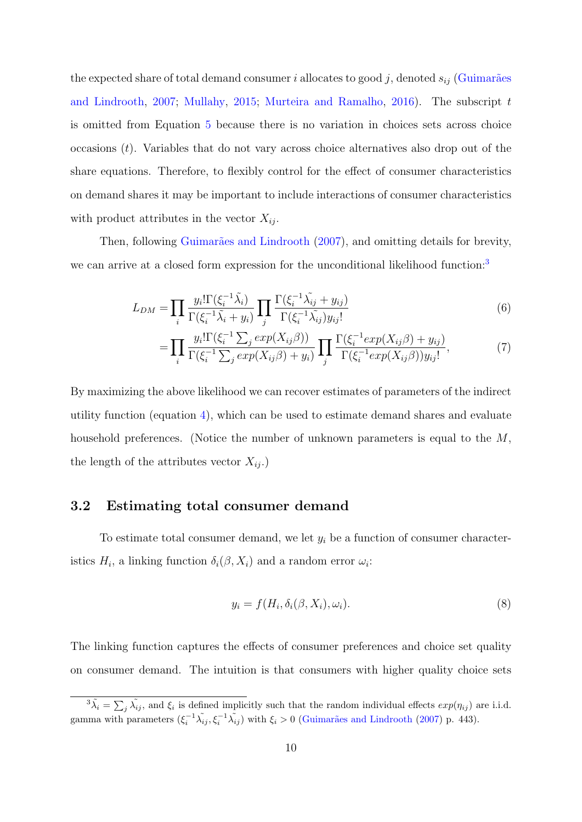the expected share of total demand consumer i allocates to good j, denoted  $s_{ij}$  (Guimarães [and Lindrooth,](#page-17-9) [2007;](#page-17-9) [Mullahy,](#page-18-8) [2015;](#page-18-8) [Murteira and Ramalho,](#page-18-9) [2016\)](#page-18-9). The subscript  $t$ is omitted from Equation [5](#page-8-0) because there is no variation in choices sets across choice occasions  $(t)$ . Variables that do not vary across choice alternatives also drop out of the share equations. Therefore, to flexibly control for the effect of consumer characteristics on demand shares it may be important to include interactions of consumer characteristics with product attributes in the vector  $X_{ij}$ .

Then, following Guimarães and Lindrooth [\(2007\)](#page-17-9), and omitting details for brevity, we can arrive at a closed form expression for the unconditional likelihood function:<sup>[3](#page-9-0)</sup>

$$
L_{DM} = \prod_{i} \frac{y_i! \Gamma(\xi_i^{-1} \tilde{\lambda}_i)}{\Gamma(\xi_i^{-1} \tilde{\lambda}_i + y_i)} \prod_{j} \frac{\Gamma(\xi_i^{-1} \tilde{\lambda}_{ij} + y_{ij})}{\Gamma(\xi_i^{-1} \tilde{\lambda}_{ij}) y_{ij}!}
$$
(6)

$$
= \prod_{i} \frac{y_i! \Gamma(\xi_i^{-1} \sum_j \exp(X_{ij}\beta))}{\Gamma(\xi_i^{-1} \sum_j \exp(X_{ij}\beta) + y_i)} \prod_{j} \frac{\Gamma(\xi_i^{-1} \exp(X_{ij}\beta) + y_{ij})}{\Gamma(\xi_i^{-1} \exp(X_{ij}\beta))y_{ij}!},
$$
(7)

By maximizing the above likelihood we can recover estimates of parameters of the indirect utility function (equation [4\)](#page-8-1), which can be used to estimate demand shares and evaluate household preferences. (Notice the number of unknown parameters is equal to the M, the length of the attributes vector  $X_{ij}$ .)

#### 3.2 Estimating total consumer demand

To estimate total consumer demand, we let  $y_i$  be a function of consumer characteristics  $H_i$ , a linking function  $\delta_i(\beta, X_i)$  and a random error  $\omega_i$ :

$$
y_i = f(H_i, \delta_i(\beta, X_i), \omega_i). \tag{8}
$$

The linking function captures the effects of consumer preferences and choice set quality on consumer demand. The intuition is that consumers with higher quality choice sets

<span id="page-9-0"></span> ${}^3\tilde{\lambda}_i = \sum_j \tilde{\lambda}_{ij}$ , and  $\xi_i$  is defined implicitly such that the random individual effects  $exp(\eta_{ij})$  are i.i.d. gamma with parameters  $(\xi_i^{-1}\tilde{\lambda_{ij}}, \xi_i^{-1}\tilde{\lambda_{ij}})$  with  $\xi_i > 0$  (Guimarães and Lindrooth [\(2007\)](#page-17-9) p. 443).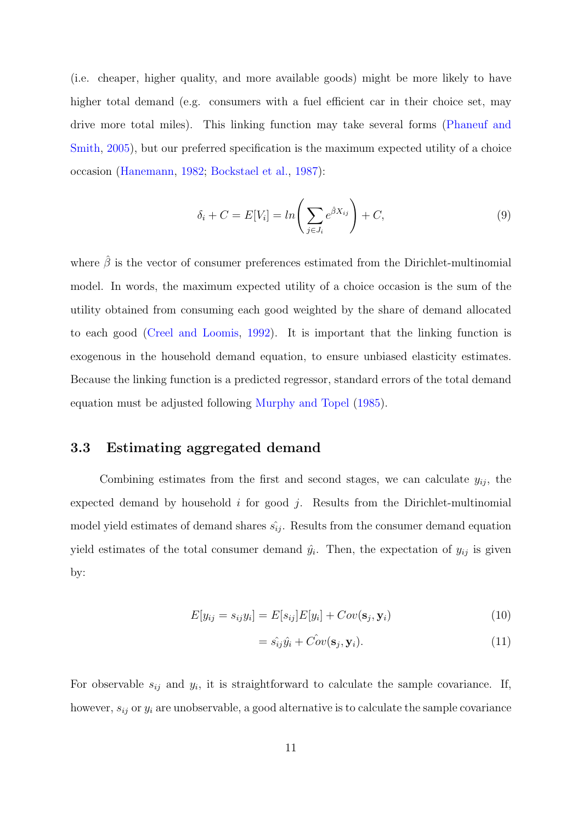(i.e. cheaper, higher quality, and more available goods) might be more likely to have higher total demand (e.g. consumers with a fuel efficient car in their choice set, may drive more total miles). This linking function may take several forms [\(Phaneuf and](#page-18-10) [Smith,](#page-18-10) [2005\)](#page-18-10), but our preferred specification is the maximum expected utility of a choice occasion [\(Hanemann,](#page-17-11) [1982;](#page-17-11) [Bockstael et al.,](#page-17-8) [1987\)](#page-17-8):

$$
\delta_i + C = E[V_i] = \ln\left(\sum_{j \in J_i} e^{\hat{\beta} X_{ij}}\right) + C,\tag{9}
$$

where  $\hat{\beta}$  is the vector of consumer preferences estimated from the Dirichlet-multinomial model. In words, the maximum expected utility of a choice occasion is the sum of the utility obtained from consuming each good weighted by the share of demand allocated to each good [\(Creel and Loomis,](#page-17-12) [1992\)](#page-17-12). It is important that the linking function is exogenous in the household demand equation, to ensure unbiased elasticity estimates. Because the linking function is a predicted regressor, standard errors of the total demand equation must be adjusted following [Murphy and Topel](#page-18-11) [\(1985\)](#page-18-11).

#### 3.3 Estimating aggregated demand

Combining estimates from the first and second stages, we can calculate  $y_{ij}$ , the expected demand by household  $i$  for good  $j$ . Results from the Dirichlet-multinomial model yield estimates of demand shares  $\hat{s}_{ij}$ . Results from the consumer demand equation yield estimates of the total consumer demand  $\hat{y}_i$ . Then, the expectation of  $y_{ij}$  is given by:

$$
E[y_{ij} = s_{ij}y_i] = E[s_{ij}]E[y_i] + Cov(\mathbf{s}_j, \mathbf{y}_i)
$$
\n(10)

$$
= \hat{s_{ij}}\hat{y_i} + \hat{Cov}(\mathbf{s}_j, \mathbf{y}_i). \tag{11}
$$

For observable  $s_{ij}$  and  $y_i$ , it is straightforward to calculate the sample covariance. If, however,  $s_{ij}$  or  $y_i$  are unobservable, a good alternative is to calculate the sample covariance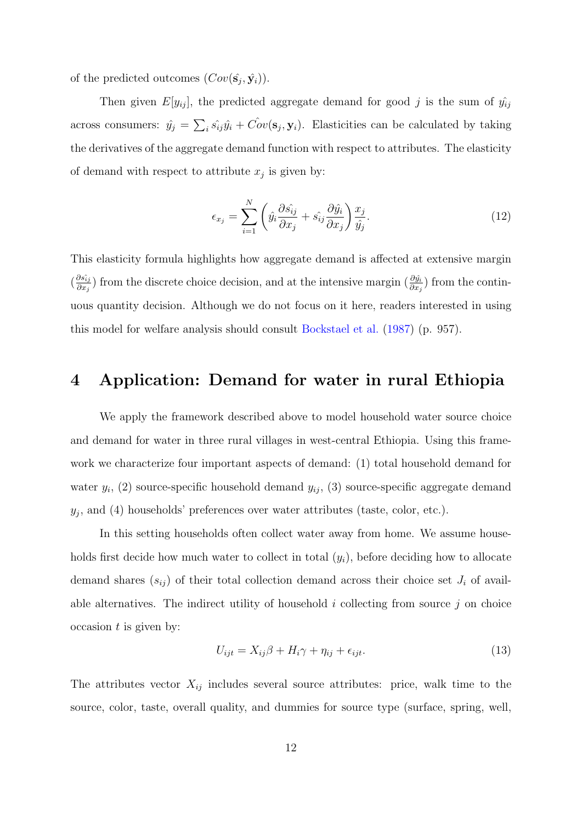of the predicted outcomes  $(Cov(\hat{s}_j, \hat{y}_i))$ .

Then given  $E[y_{ij}]$ , the predicted aggregate demand for good j is the sum of  $\hat{y}_{ij}$ across consumers:  $\hat{y}_j = \sum_i \hat{s_{ij}} \hat{y_i} + \hat{Cov}(\mathbf{s}_j, \mathbf{y}_i)$ . Elasticities can be calculated by taking the derivatives of the aggregate demand function with respect to attributes. The elasticity of demand with respect to attribute  $x_j$  is given by:

$$
\epsilon_{x_j} = \sum_{i=1}^N \left( \hat{y}_i \frac{\partial \hat{s_{ij}}}{\partial x_j} + \hat{s_{ij}} \frac{\partial \hat{y}_i}{\partial x_j} \right) \frac{x_j}{\hat{y}_j}.
$$
\n(12)

This elasticity formula highlights how aggregate demand is affected at extensive margin  $\left(\frac{\partial s_{ij}}{\partial x}\right)$  $\frac{\partial s_{ij}}{\partial x_j}$ ) from the discrete choice decision, and at the intensive margin  $(\frac{\partial \hat{y}_i}{\partial x_j})$  from the continuous quantity decision. Although we do not focus on it here, readers interested in using this model for welfare analysis should consult [Bockstael et al.](#page-17-8) [\(1987\)](#page-17-8) (p. 957).

### <span id="page-11-0"></span>4 Application: Demand for water in rural Ethiopia

We apply the framework described above to model household water source choice and demand for water in three rural villages in west-central Ethiopia. Using this framework we characterize four important aspects of demand: (1) total household demand for water  $y_i$ , (2) source-specific household demand  $y_{ij}$ , (3) source-specific aggregate demand  $y_j$ , and (4) households' preferences over water attributes (taste, color, etc.).

In this setting households often collect water away from home. We assume households first decide how much water to collect in total  $(y<sub>i</sub>)$ , before deciding how to allocate demand shares  $(s_{ij})$  of their total collection demand across their choice set  $J_i$  of available alternatives. The indirect utility of household  $i$  collecting from source  $j$  on choice  $\alpha$  occasion t is given by:

<span id="page-11-1"></span>
$$
U_{ijt} = X_{ij}\beta + H_i\gamma + \eta_{ij} + \epsilon_{ijt}.\tag{13}
$$

The attributes vector  $X_{ij}$  includes several source attributes: price, walk time to the source, color, taste, overall quality, and dummies for source type (surface, spring, well,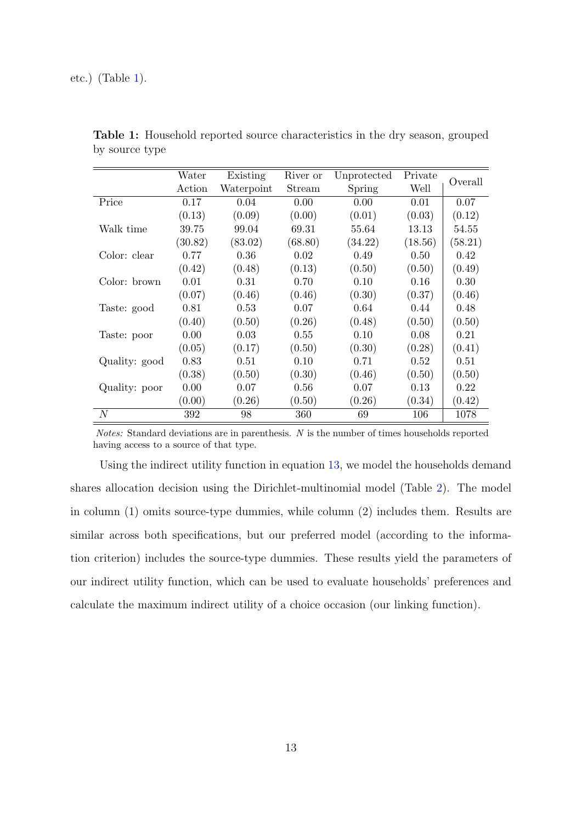|               | Water   | Existing   | River or<br>Unprotected |         | Private |         |  |
|---------------|---------|------------|-------------------------|---------|---------|---------|--|
|               | Action  | Waterpoint | Stream                  | Spring  | Well    | Overall |  |
| Price         | 0.17    | 0.04       | 0.00                    | 0.00    | 0.01    | 0.07    |  |
|               | (0.13)  | (0.09)     | (0.00)                  | (0.01)  | (0.03)  | (0.12)  |  |
| Walk time     | 39.75   | 99.04      | 69.31                   | 55.64   | 13.13   | 54.55   |  |
|               | (30.82) | (83.02)    | (68.80)                 | (34.22) | (18.56) | (58.21) |  |
| Color: clear  | 0.77    | 0.36       | 0.02                    | 0.49    | 0.50    | 0.42    |  |
|               | (0.42)  | (0.48)     | (0.13)                  | (0.50)  | (0.50)  | (0.49)  |  |
| Color: brown  | 0.01    | 0.31       | 0.70                    | 0.10    | 0.16    | 0.30    |  |
|               | (0.07)  | (0.46)     | (0.46)                  | (0.30)  | (0.37)  | (0.46)  |  |
| Taste: good   | 0.81    | 0.53       | 0.07                    | 0.64    | 0.44    | 0.48    |  |
|               | (0.40)  | (0.50)     | (0.26)                  | (0.48)  | (0.50)  | (0.50)  |  |
| Taste: poor   | 0.00    | 0.03       | 0.55                    | 0.10    | 0.08    | 0.21    |  |
|               | (0.05)  | (0.17)     | (0.50)                  | (0.30)  | (0.28)  | (0.41)  |  |
| Quality: good | 0.83    | 0.51       | 0.10                    | 0.71    | 0.52    | 0.51    |  |
|               | (0.38)  | (0.50)     | (0.30)                  | (0.46)  | (0.50)  | (0.50)  |  |
| Quality: poor | 0.00    | 0.07       | 0.56                    | 0.07    | 0.13    | 0.22    |  |
|               | (0.00)  | (0.26)     | (0.50)                  | (0.26)  | (0.34)  | (0.42)  |  |
| N             | 392     | 98         | 360                     | 69      | 106     | 1078    |  |

<span id="page-12-0"></span>Table 1: Household reported source characteristics in the dry season, grouped by source type

Notes: Standard deviations are in parenthesis. N is the number of times households reported having access to a source of that type.

Using the indirect utility function in equation [13,](#page-11-1) we model the households demand shares allocation decision using the Dirichlet-multinomial model (Table [2\)](#page-13-0). The model in column (1) omits source-type dummies, while column (2) includes them. Results are similar across both specifications, but our preferred model (according to the information criterion) includes the source-type dummies. These results yield the parameters of our indirect utility function, which can be used to evaluate households' preferences and calculate the maximum indirect utility of a choice occasion (our linking function).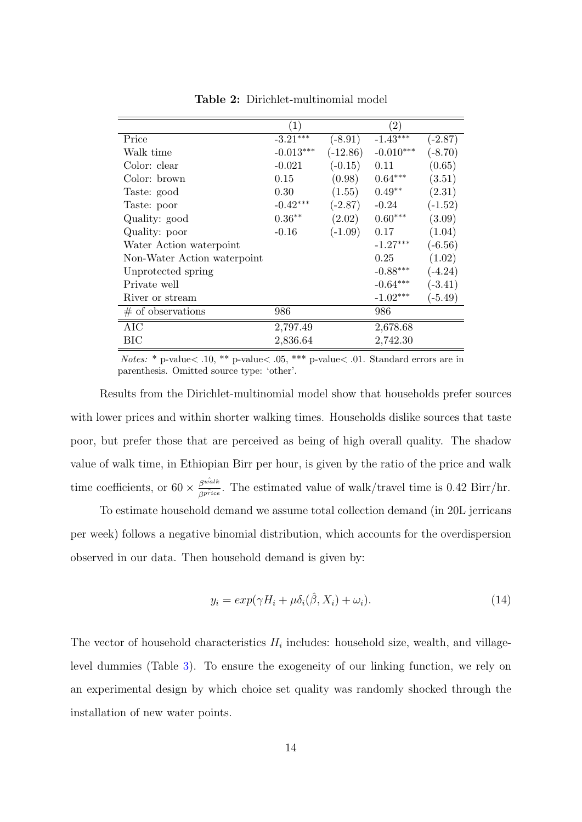<span id="page-13-0"></span>

|                             | $\left( 1\right)$ |            | $\left( 2\right)$ |           |
|-----------------------------|-------------------|------------|-------------------|-----------|
| Price                       | $-3.21***$        | $(-8.91)$  | $-1.43***$        | $(-2.87)$ |
| Walk time                   | $-0.013***$       | $(-12.86)$ | $-0.010***$       | $(-8.70)$ |
| Color: clear                | $-0.021$          | $(-0.15)$  | 0.11              | (0.65)    |
| Color: brown                | 0.15              | (0.98)     | $0.64***$         | (3.51)    |
| Taste: good                 | 0.30              | (1.55)     | $0.49**$          | (2.31)    |
| Taste: poor                 | $-0.42***$        | $(-2.87)$  | $-0.24$           | $(-1.52)$ |
| Quality: good               | $0.36**$          | (2.02)     | $0.60***$         | (3.09)    |
| Quality: poor               | $-0.16$           | $(-1.09)$  | 0.17              | (1.04)    |
| Water Action waterpoint     |                   |            | $-1.27***$        | $(-6.56)$ |
| Non-Water Action waterpoint |                   |            | 0.25              | (1.02)    |
| Unprotected spring          |                   |            | $-0.88***$        | $(-4.24)$ |
| Private well                |                   |            | $-0.64***$        | $(-3.41)$ |
| River or stream             |                   |            | $-1.02***$        | $(-5.49)$ |
| $\#$ of observations        | 986               |            | 986               |           |
| AIC                         | 2,797.49          |            | 2,678.68          |           |
| BIC                         | 2,836.64          |            | 2,742.30          |           |

Table 2: Dirichlet-multinomial model

Notes: \* p-value< .10, \*\* p-value< .05, \*\*\* p-value< .01. Standard errors are in parenthesis. Omitted source type: 'other'.

Results from the Dirichlet-multinomial model show that households prefer sources with lower prices and within shorter walking times. Households dislike sources that taste poor, but prefer those that are perceived as being of high overall quality. The shadow value of walk time, in Ethiopian Birr per hour, is given by the ratio of the price and walk time coefficients, or  $60 \times \frac{\beta^{w\hat{a}lk}}{\beta^{pr\hat{c}ic}}$ . The estimated value of walk/travel time is 0.42 Birr/hr.

To estimate household demand we assume total collection demand (in 20L jerricans per week) follows a negative binomial distribution, which accounts for the overdispersion observed in our data. Then household demand is given by:

$$
y_i = exp(\gamma H_i + \mu \delta_i(\hat{\beta}, X_i) + \omega_i). \tag{14}
$$

The vector of household characteristics  $H_i$  includes: household size, wealth, and villagelevel dummies (Table [3\)](#page-14-0). To ensure the exogeneity of our linking function, we rely on an experimental design by which choice set quality was randomly shocked through the installation of new water points.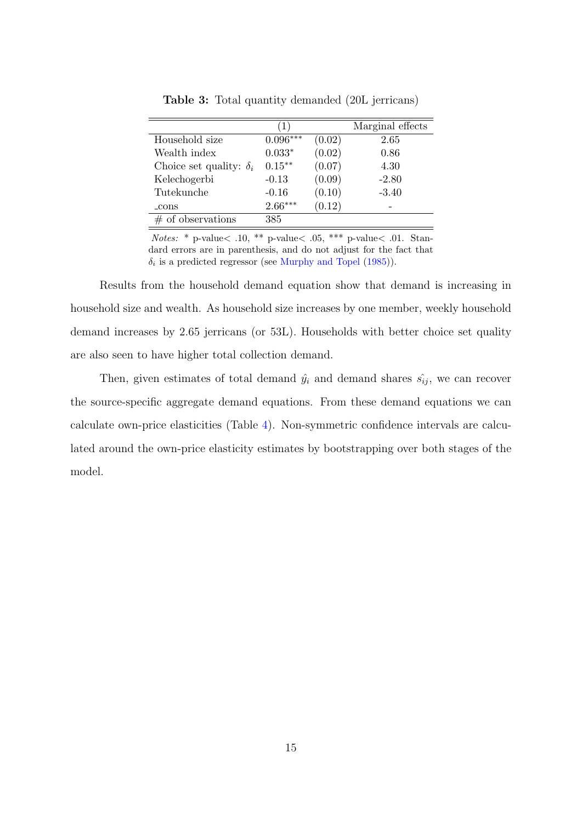<span id="page-14-0"></span>

|                                |            |        | Marginal effects |
|--------------------------------|------------|--------|------------------|
| Household size                 | $0.096***$ | (0.02) | 2.65             |
| Wealth index                   | $0.033*$   | (0.02) | 0.86             |
| Choice set quality: $\delta_i$ | $0.15***$  | (0.07) | 4.30             |
| Kelechogerbi                   | $-0.13$    | (0.09) | $-2.80$          |
| Tutekunche                     | $-0.16$    | (0.10) | $-3.40$          |
| _cons                          | $2.66***$  | (0.12) |                  |
| of observations                | 385        |        |                  |

Table 3: Total quantity demanded (20L jerricans)

Notes: \* p-value $<$  .10, \*\* p-value $<$  .05, \*\*\* p-value $<$  .01. Standard errors are in parenthesis, and do not adjust for the fact that  $\delta_i$  is a predicted regressor (see [Murphy and Topel](#page-18-11) [\(1985\)](#page-18-11)).

Results from the household demand equation show that demand is increasing in household size and wealth. As household size increases by one member, weekly household demand increases by 2.65 jerricans (or 53L). Households with better choice set quality are also seen to have higher total collection demand.

Then, given estimates of total demand  $\hat{y}_i$  and demand shares  $\hat{s_{ij}}$ , we can recover the source-specific aggregate demand equations. From these demand equations we can calculate own-price elasticities (Table [4\)](#page-15-1). Non-symmetric confidence intervals are calculated around the own-price elasticity estimates by bootstrapping over both stages of the model.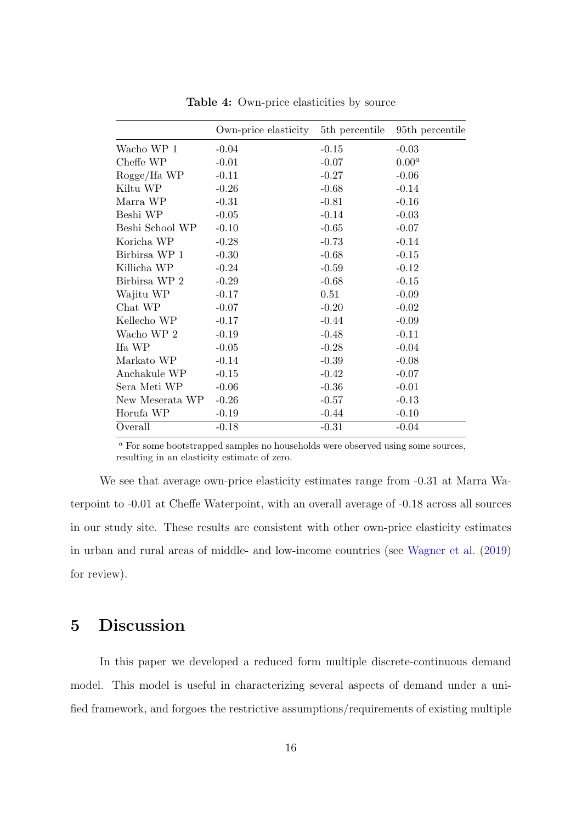<span id="page-15-1"></span>

|                 | Own-price elasticity | 5 <sup>th</sup> percentile | 95 <sup>th</sup> percentile |
|-----------------|----------------------|----------------------------|-----------------------------|
| Wacho WP 1      | $-0.04$              | $-0.15$                    | $-0.03$                     |
| Cheffe WP       | $-0.01$              | $-0.07$                    | $0.00^a$                    |
| Rogge/Ifa WP    | $-0.11$              | $-0.27$                    | $-0.06$                     |
| Kiltu WP        | $-0.26$              | $-0.68$                    | $-0.14$                     |
| Marra WP        | $-0.31$              | $-0.81$                    | $-0.16$                     |
| Beshi WP        | $-0.05$              | $-0.14$                    | $-0.03$                     |
| Beshi School WP | $-0.10$              | $-0.65$                    | $-0.07$                     |
| Koricha WP      | $-0.28$              | $-0.73$                    | $-0.14$                     |
| Birbirsa WP 1   | $-0.30$              | $-0.68$                    | $-0.15$                     |
| Killicha WP     | $-0.24$              | $-0.59$                    | $-0.12$                     |
| Birbirsa WP 2   | $-0.29$              | $-0.68$                    | $-0.15$                     |
| Wajitu WP       | $-0.17$              | 0.51                       | $-0.09$                     |
| Chat WP         | $-0.07$              | $-0.20$                    | $-0.02$                     |
| Kellecho WP     | $-0.17$              | $-0.44$                    | $-0.09$                     |
| Wacho WP 2      | $-0.19$              | $-0.48$                    | $-0.11$                     |
| Ifa WP          | $-0.05$              | $-0.28$                    | $-0.04$                     |
| Markato WP      | $-0.14$              | $-0.39$                    | $-0.08$                     |
| Anchakule WP    | $-0.15$              | $-0.42$                    | $-0.07$                     |
| Sera Meti WP    | $-0.06$              | $-0.36$                    | $-0.01$                     |
| New Meserata WP | $-0.26$              | $-0.57$                    | $-0.13$                     |
| Horufa WP       | $-0.19$              | $-0.44$                    | $-0.10$                     |
| Overall         | $-0.18$              | $-0.31$                    | $-0.04$                     |

Table 4: Own-price elasticities by source

<sup>a</sup> For some bootstrapped samples no households were observed using some sources, resulting in an elasticity estimate of zero.

We see that average own-price elasticity estimates range from -0.31 at Marra Waterpoint to -0.01 at Cheffe Waterpoint, with an overall average of -0.18 across all sources in our study site. These results are consistent with other own-price elasticity estimates in urban and rural areas of middle- and low-income countries (see [Wagner et al.](#page-18-6) [\(2019\)](#page-18-6) for review).

### <span id="page-15-0"></span>5 Discussion

In this paper we developed a reduced form multiple discrete-continuous demand model. This model is useful in characterizing several aspects of demand under a unified framework, and forgoes the restrictive assumptions/requirements of existing multiple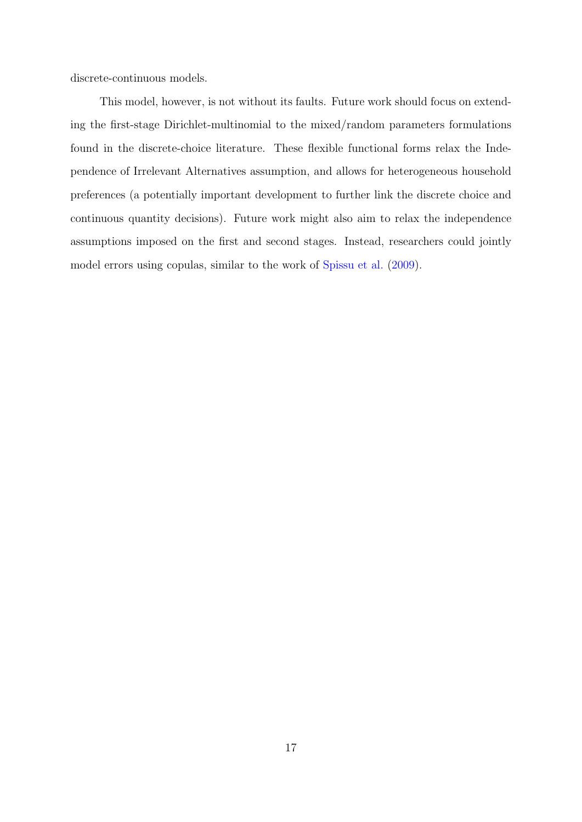discrete-continuous models.

This model, however, is not without its faults. Future work should focus on extending the first-stage Dirichlet-multinomial to the mixed/random parameters formulations found in the discrete-choice literature. These flexible functional forms relax the Independence of Irrelevant Alternatives assumption, and allows for heterogeneous household preferences (a potentially important development to further link the discrete choice and continuous quantity decisions). Future work might also aim to relax the independence assumptions imposed on the first and second stages. Instead, researchers could jointly model errors using copulas, similar to the work of [Spissu et al.](#page-18-12) [\(2009\)](#page-18-12).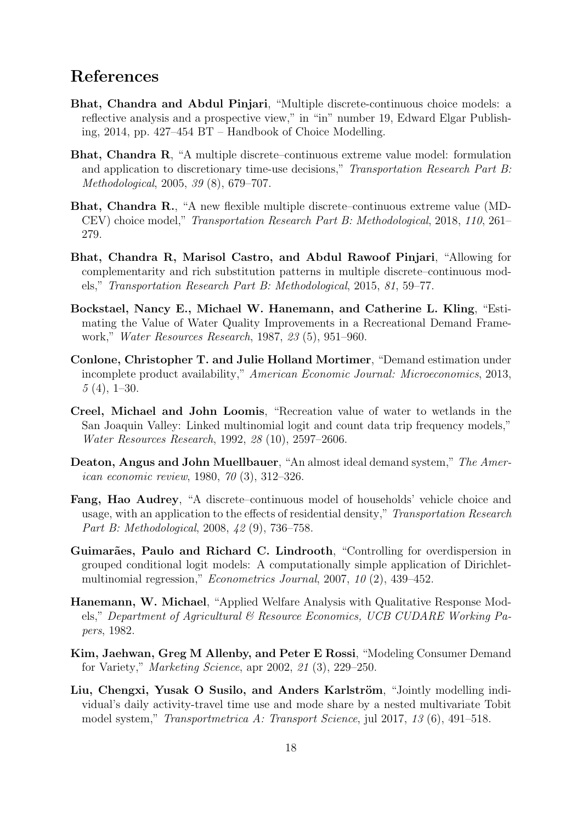### References

- <span id="page-17-2"></span>Bhat, Chandra and Abdul Pinjari, "Multiple discrete-continuous choice models: a reflective analysis and a prospective view," in "in" number 19, Edward Elgar Publishing, 2014, pp. 427–454 BT – Handbook of Choice Modelling.
- <span id="page-17-1"></span>Bhat, Chandra R, "A multiple discrete–continuous extreme value model: formulation and application to discretionary time-use decisions," Transportation Research Part B: Methodological, 2005, 39 (8), 679–707.
- <span id="page-17-5"></span>Bhat, Chandra R., "A new flexible multiple discrete–continuous extreme value (MD-CEV) choice model," Transportation Research Part B: Methodological, 2018, 110, 261– 279.
- <span id="page-17-4"></span>Bhat, Chandra R, Marisol Castro, and Abdul Rawoof Pinjari, "Allowing for complementarity and rich substitution patterns in multiple discrete–continuous models," Transportation Research Part B: Methodological, 2015, 81, 59–77.
- <span id="page-17-8"></span>Bockstael, Nancy E., Michael W. Hanemann, and Catherine L. Kling, "Estimating the Value of Water Quality Improvements in a Recreational Demand Framework," Water Resources Research, 1987, 23 (5), 951–960.
- <span id="page-17-10"></span>Conlone, Christopher T. and Julie Holland Mortimer, "Demand estimation under incomplete product availability," American Economic Journal: Microeconomics, 2013,  $5(4)$ , 1–30.
- <span id="page-17-12"></span>Creel, Michael and John Loomis, "Recreation value of water to wetlands in the San Joaquin Valley: Linked multinomial logit and count data trip frequency models," Water Resources Research, 1992, 28 (10), 2597–2606.
- <span id="page-17-3"></span>Deaton, Angus and John Muellbauer, "An almost ideal demand system," The American economic review, 1980, 70 (3), 312–326.
- <span id="page-17-6"></span>Fang, Hao Audrey, "A discrete–continuous model of households' vehicle choice and usage, with an application to the effects of residential density," Transportation Research Part B: Methodological, 2008, 42 (9), 736–758.
- <span id="page-17-9"></span>Guimarães, Paulo and Richard C. Lindrooth, "Controlling for overdispersion in grouped conditional logit models: A computationally simple application of Dirichletmultinomial regression," Econometrics Journal, 2007, 10 (2), 439–452.
- <span id="page-17-11"></span>Hanemann, W. Michael, "Applied Welfare Analysis with Qualitative Response Models," Department of Agricultural & Resource Economics, UCB CUDARE Working Papers, 1982.
- <span id="page-17-0"></span>Kim, Jaehwan, Greg M Allenby, and Peter E Rossi, "Modeling Consumer Demand for Variety," Marketing Science, apr 2002, 21 (3), 229–250.
- <span id="page-17-7"></span>Liu, Chengxi, Yusak O Susilo, and Anders Karlström, "Jointly modelling individual's daily activity-travel time use and mode share by a nested multivariate Tobit model system," Transportmetrica A: Transport Science, jul 2017, 13 (6), 491–518.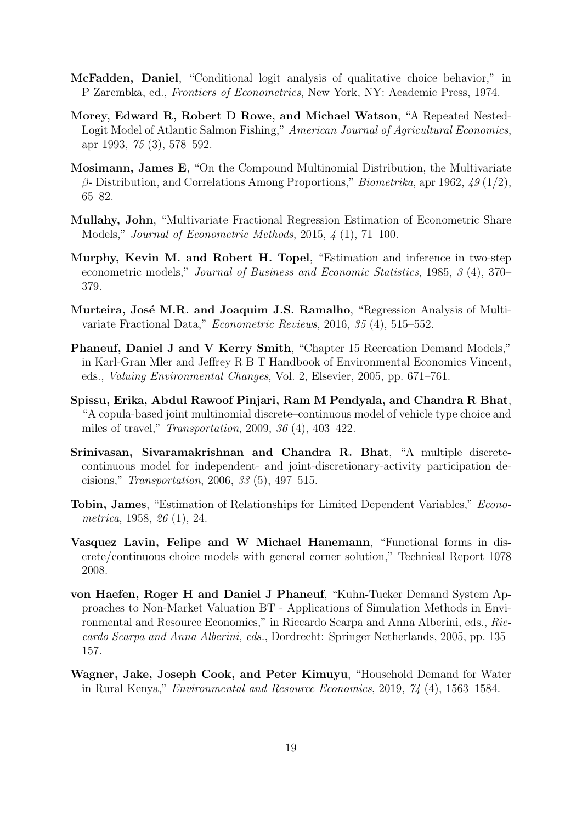- <span id="page-18-5"></span>McFadden, Daniel, "Conditional logit analysis of qualitative choice behavior," in P Zarembka, ed., Frontiers of Econometrics, New York, NY: Academic Press, 1974.
- <span id="page-18-4"></span>Morey, Edward R, Robert D Rowe, and Michael Watson, "A Repeated Nested-Logit Model of Atlantic Salmon Fishing," American Journal of Agricultural Economics, apr 1993, 75 (3), 578–592.
- <span id="page-18-7"></span>Mosimann, James E, "On the Compound Multinomial Distribution, the Multivariate β- Distribution, and Correlations Among Proportions," Biometrika, apr 1962,  $\chi$  49 (1/2), 65–82.
- <span id="page-18-8"></span>Mullahy, John, "Multivariate Fractional Regression Estimation of Econometric Share Models," Journal of Econometric Methods, 2015, 4 (1), 71–100.
- <span id="page-18-11"></span>Murphy, Kevin M. and Robert H. Topel, "Estimation and inference in two-step econometric models," Journal of Business and Economic Statistics, 1985, 3 (4), 370– 379.
- <span id="page-18-9"></span>Murteira, José M.R. and Joaquim J.S. Ramalho, "Regression Analysis of Multivariate Fractional Data," Econometric Reviews, 2016, 35 (4), 515–552.
- <span id="page-18-10"></span>Phaneuf, Daniel J and V Kerry Smith, "Chapter 15 Recreation Demand Models," in Karl-Gran Mler and Jeffrey R B T Handbook of Environmental Economics Vincent, eds., Valuing Environmental Changes, Vol. 2, Elsevier, 2005, pp. 671–761.
- <span id="page-18-12"></span>Spissu, Erika, Abdul Rawoof Pinjari, Ram M Pendyala, and Chandra R Bhat, "A copula-based joint multinomial discrete–continuous model of vehicle type choice and miles of travel," Transportation, 2009, 36 (4), 403–422.
- <span id="page-18-3"></span>Srinivasan, Sivaramakrishnan and Chandra R. Bhat, "A multiple discretecontinuous model for independent- and joint-discretionary-activity participation decisions," Transportation, 2006, 33 (5), 497–515.
- <span id="page-18-2"></span>Tobin, James, "Estimation of Relationships for Limited Dependent Variables," Econometrica, 1958, 26 (1), 24.
- <span id="page-18-1"></span>Vasquez Lavin, Felipe and W Michael Hanemann, "Functional forms in discrete/continuous choice models with general corner solution," Technical Report 1078 2008.
- <span id="page-18-0"></span>von Haefen, Roger H and Daniel J Phaneuf, "Kuhn-Tucker Demand System Approaches to Non-Market Valuation BT - Applications of Simulation Methods in Environmental and Resource Economics," in Riccardo Scarpa and Anna Alberini, eds., Riccardo Scarpa and Anna Alberini, eds., Dordrecht: Springer Netherlands, 2005, pp. 135– 157.
- <span id="page-18-6"></span>Wagner, Jake, Joseph Cook, and Peter Kimuyu, "Household Demand for Water in Rural Kenya," Environmental and Resource Economics, 2019, 74 (4), 1563–1584.